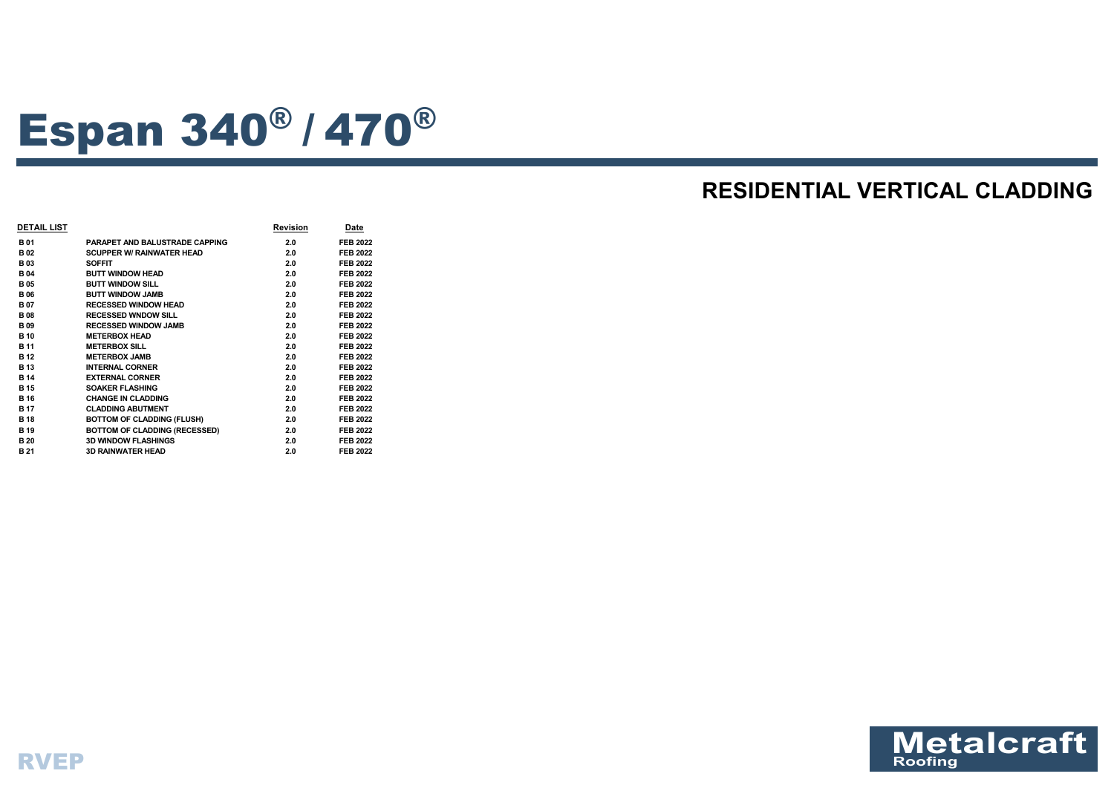

# Espan 340® / <sup>470</sup>®

# **RESIDENTIAL VERTICAL CLADDING**

| <b>DETAIL LIST</b> |                                       | <b>Revision</b> | Date            |
|--------------------|---------------------------------------|-----------------|-----------------|
| <b>B01</b>         | <b>PARAPET AND BALUSTRADE CAPPING</b> | 2.0             | <b>FEB 2022</b> |
| <b>B02</b>         | <b>SCUPPER W/ RAINWATER HEAD</b>      | 2.0             | <b>FEB 2022</b> |
| <b>B03</b>         | <b>SOFFIT</b>                         | 2.0             | <b>FEB 2022</b> |
| <b>B04</b>         | <b>BUTT WINDOW HEAD</b>               | 2.0             | <b>FEB 2022</b> |
| <b>B</b> 05        | <b>BUTT WINDOW SILL</b>               | 2.0             | <b>FEB 2022</b> |
| <b>B06</b>         | <b>BUTT WINDOW JAMB</b>               | 2.0             | <b>FEB 2022</b> |
| <b>B07</b>         | <b>RECESSED WINDOW HEAD</b>           | 2.0             | <b>FEB 2022</b> |
| <b>B</b> 08        | <b>RECESSED WNDOW SILL</b>            | 2.0             | <b>FEB 2022</b> |
| <b>B</b> 09        | <b>RECESSED WINDOW JAMB</b>           | 2.0             | <b>FEB 2022</b> |
| <b>B</b> 10        | <b>METERBOX HEAD</b>                  | 2.0             | <b>FEB 2022</b> |
| <b>B</b> 11        | <b>METERBOX SILL</b>                  | 2.0             | <b>FEB 2022</b> |
| <b>B</b> 12        | <b>METERBOX JAMB</b>                  | 2.0             | <b>FEB 2022</b> |
| <b>B</b> 13        | <b>INTERNAL CORNER</b>                | 2.0             | <b>FEB 2022</b> |
| <b>B</b> 14        | <b>EXTERNAL CORNER</b>                | 2.0             | <b>FEB 2022</b> |
| <b>B</b> 15        | <b>SOAKER FLASHING</b>                | 2.0             | <b>FEB 2022</b> |
| <b>B</b> 16        | <b>CHANGE IN CLADDING</b>             | 2.0             | <b>FEB 2022</b> |
| <b>B</b> 17        | <b>CLADDING ABUTMENT</b>              | 2.0             | <b>FEB 2022</b> |
| <b>B</b> 18        | <b>BOTTOM OF CLADDING (FLUSH)</b>     | 2.0             | <b>FEB 2022</b> |
| <b>B</b> 19        | <b>BOTTOM OF CLADDING (RECESSED)</b>  | 2.0             | <b>FEB 2022</b> |
| <b>B</b> 20        | <b>3D WINDOW FLASHINGS</b>            | 2.0             | <b>FEB 2022</b> |
| <b>B21</b>         | <b>3D RAINWATER HEAD</b>              | 2.0             | <b>FEB 2022</b> |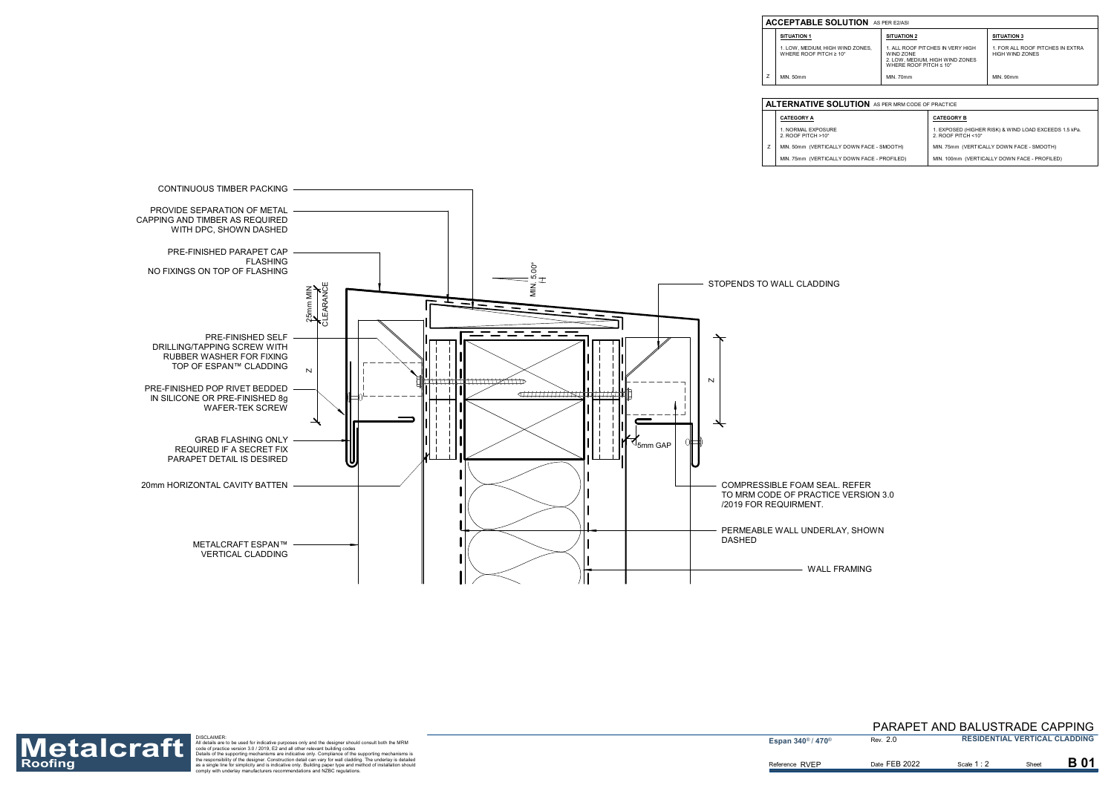

| <b>LUTION</b> AS PER MRM CODE OF PRACTICE |                                                                                      |  |  |  |
|-------------------------------------------|--------------------------------------------------------------------------------------|--|--|--|
|                                           | <b>CATEGORY B</b>                                                                    |  |  |  |
|                                           | 1. EXPOSED (HIGHER RISK) & WIND LOAD EXCEEDS 1.5 kPa.<br>2. ROOF PITCH $<10^{\circ}$ |  |  |  |
| DOWN FACE - SMOOTH)                       | MIN. 75mm (VERTICALLY DOWN FACE - SMOOTH)                                            |  |  |  |
| DOWN FACE - PROFILED)                     | MIN. 100mm (VERTICALLY DOWN FACE - PROFILED)                                         |  |  |  |

- **CATEGORY A**
- 1. NORMAL EXPOSURE 2. ROOF PITCH >10°
- MIN. 50mm (VERTICALLY MIN. 75mm (VERTICALLY Z

| <b>SITUATION 2</b><br><b>SITUATION 3</b>                                                                                                                                                                 |  |
|----------------------------------------------------------------------------------------------------------------------------------------------------------------------------------------------------------|--|
| 1. FOR ALL ROOF PITCHES IN EXTRA<br>IND ZONES.<br>1. ALL ROOF PITCHES IN VERY HIGH<br>ገ°<br><b>HIGH WIND ZONES</b><br>WIND ZONE<br>2. LOW, MEDIUM, HIGH WIND ZONES<br>WHERE ROOF PITCH $\leq 10^{\circ}$ |  |
| MIN. 90mm<br>MIN. 70mm                                                                                                                                                                                   |  |

#### **ACCEPTABLE SOL**

**SITUATION 1**

ZMIN. 50mm

#### **ALTERNATIVE SOL**

1. LOW, MEDIUM, HIGH WIND ZONES, WHERE ROOF PITCH ≥ 10°

Roofing<br>Roofing as a single for simplic the support of the support of the designer should consult bit in the MRM<br>Roofing the stapport of the support of the support of the support of the support of the designer should consu



#### 2.0 PARAPET AND BALUSTRADE CAPPING **RESIDENTIAL VERTICAL CLADDING**

Date FEB 2022 **B** Scale 1 : 2 **B** Sheet

Scale **1** : 2

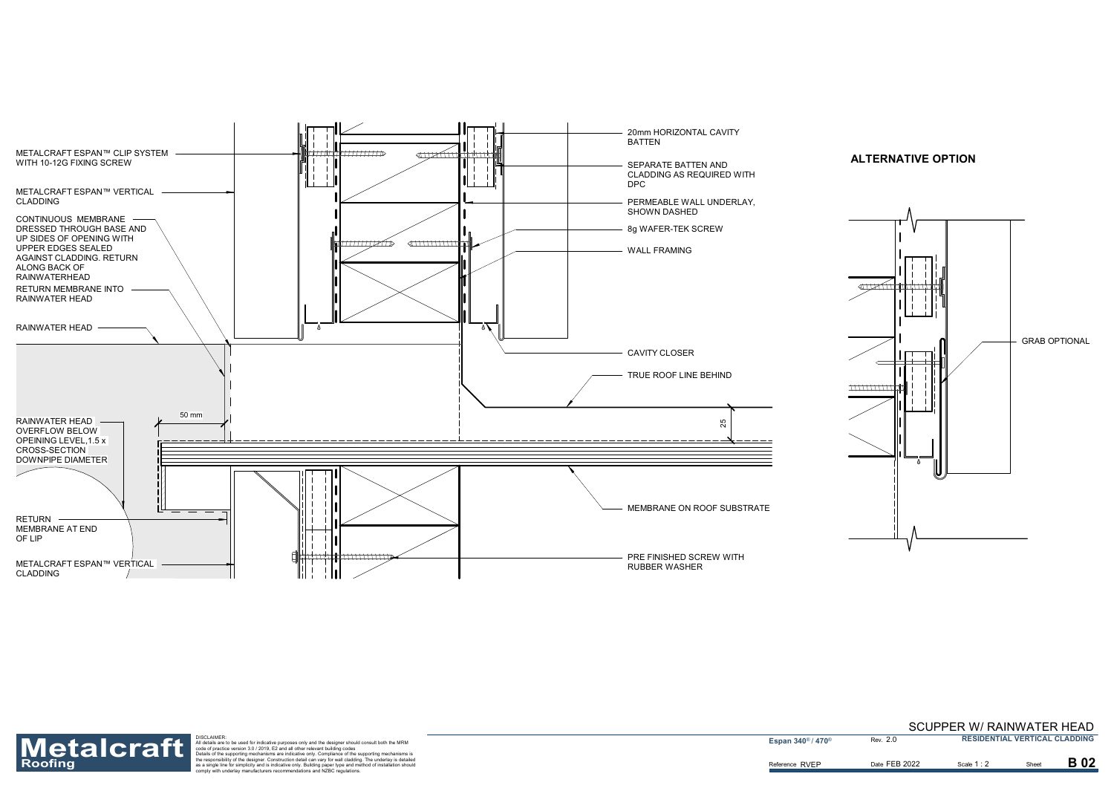



Reference RVEP



Roofing<br>Roofing as a single for simplic the separation detail are to be used for indicative purposes only and the designer should consult both the MRM<br>
Materials are to be used for indicative purposes only and the designer

**Espan 340<sup>®</sup> / 470<sup>®</sup>** 

2.0

Date FEB 2022 **B** Scale 1 : 2 **B** Sheet

Scale 1 : 2

**B02** 

#### SCUPPER W/ RAINWATER HEAD **RESIDENTIAL VERTICAL CLADDING**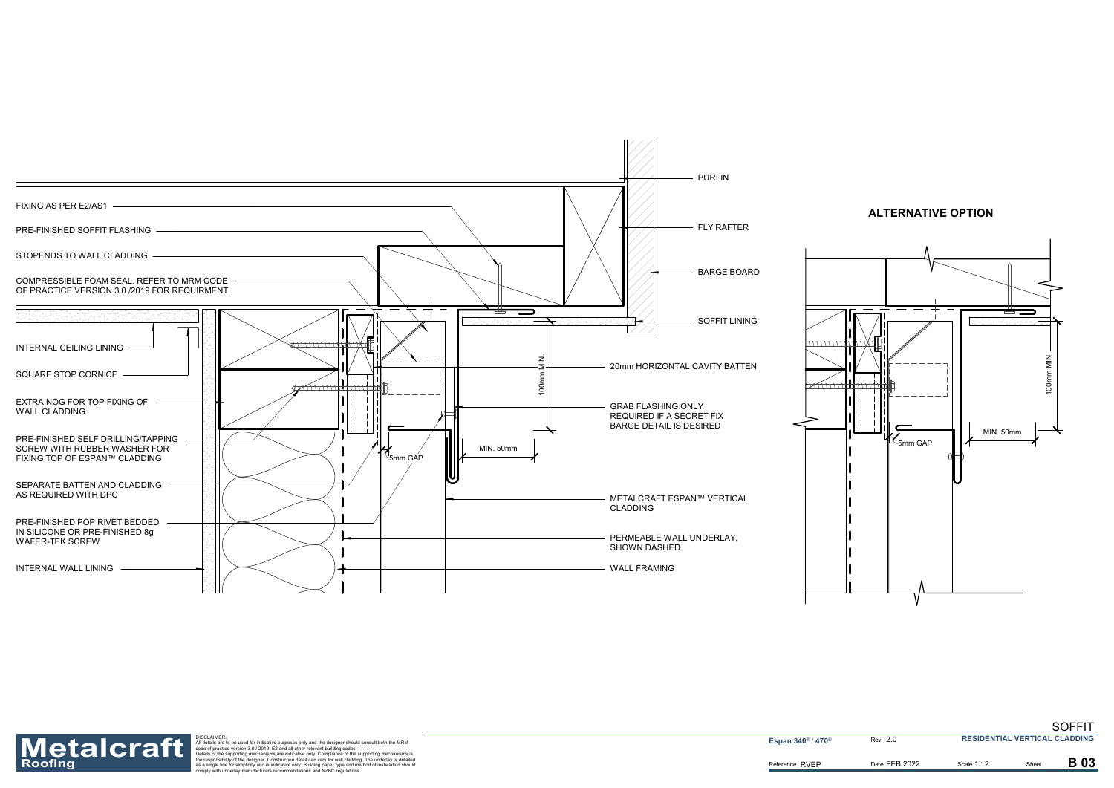



Reference RVEP



Roofing<br>Roofing as a single for simplic the separation detail are to be used for indicative purposes only and the designer should consult both the MRM<br>
Materials are to be used for indicative purposes only and the designer

**Espan 340<sup>®</sup> / 470<sup>®</sup>** 

2.0

Date FEB 2022 **B** Scale 1 : 2 **B** Sheet

Scale **1** : 2

**B03** 

SOFFIT **RESIDENTIAL VERTICAL CLADDING**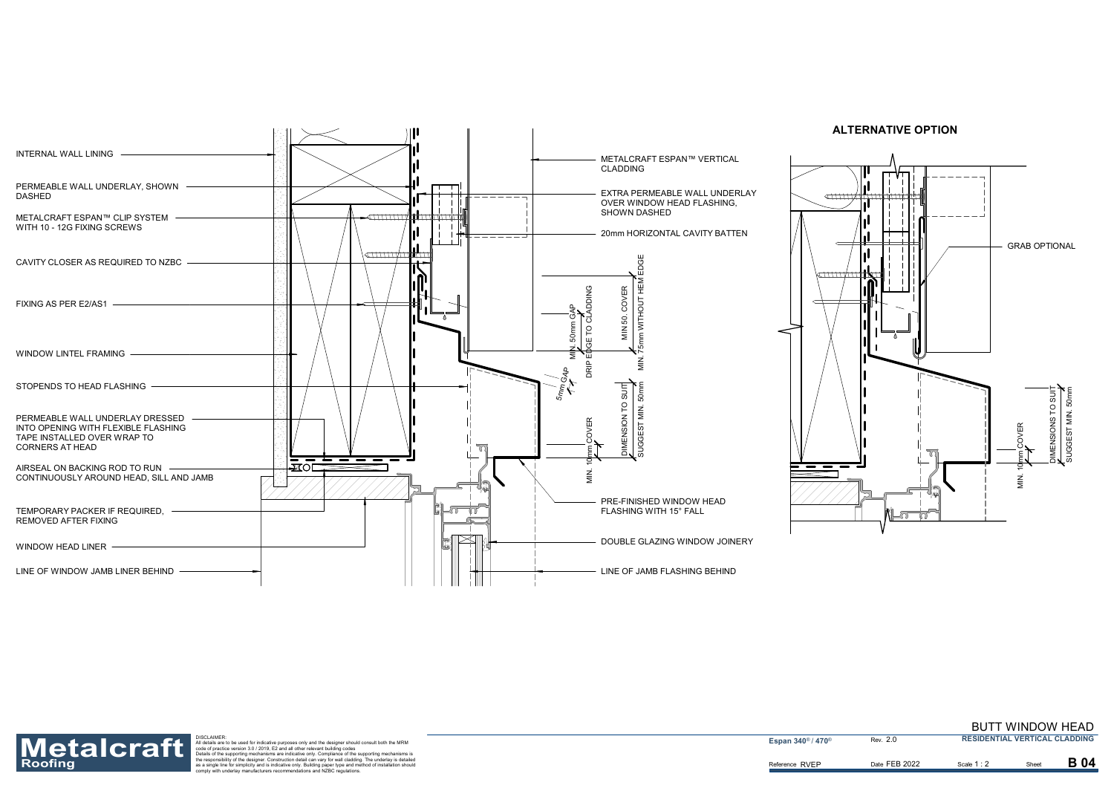



Reference RVEP



Roofing<br>Roofing as a single for simplic the separation detail are to be used for indicative purposes only and the designer should consult both the MRM<br>
Materials are to be used for indicative purposes only and the designer

**Espan 340<sup>®</sup> / 470<sup>®</sup>** 

2.0

Date FEB 2022 **B** Scale 1 : 2 **B** Sheet

Scale **1** : 2

**B04** 

#### BUTT WINDOW HEAD **RESIDENTIAL VERTICAL CLADDING**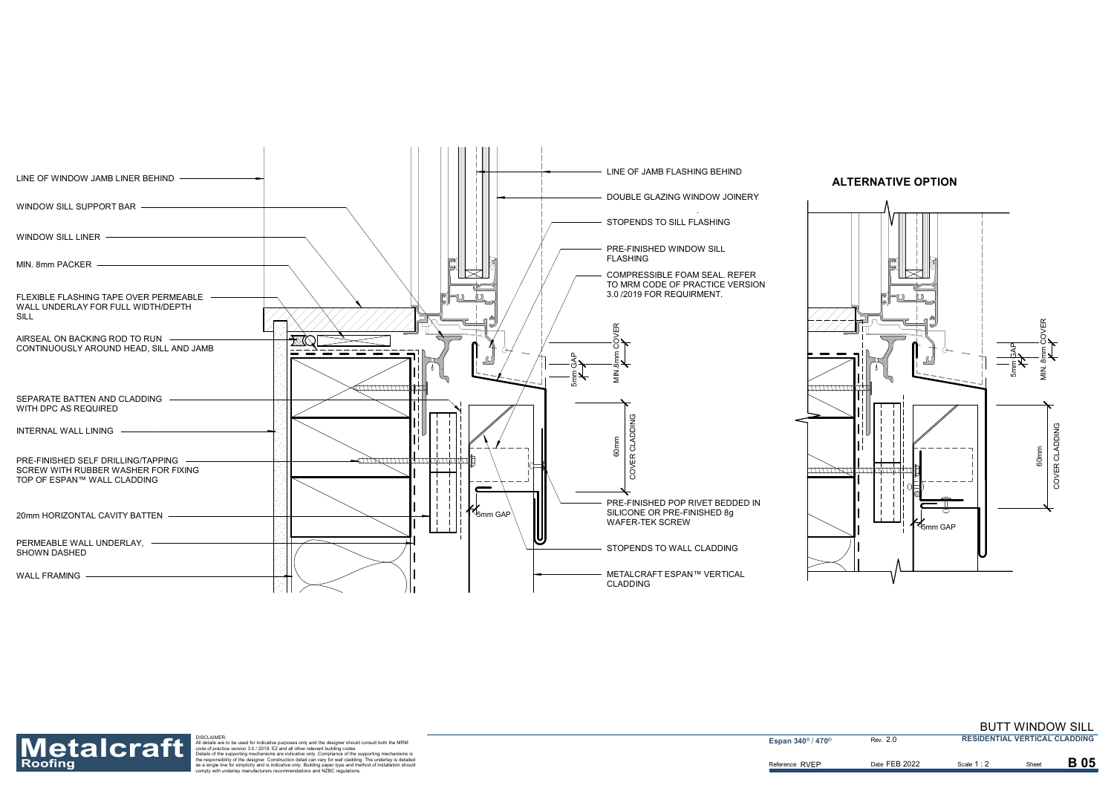



Reference RVEP



Roofing<br>Roofing as a single for simplic the separation detail are to be used for indicative purposes only and the designer should consult both the MRM<br>
Materials are to be used for indicative purposes only and the designer

**Espan 340<sup>®</sup> / 470<sup>®</sup>** 

2.0

Date FEB 2022 **B** Scale 1 : 2 **B** Sheet

Scale **1** : 2

**B** 05

#### BUTT WINDOW SILL **RESIDENTIAL VERTICAL CLADDING**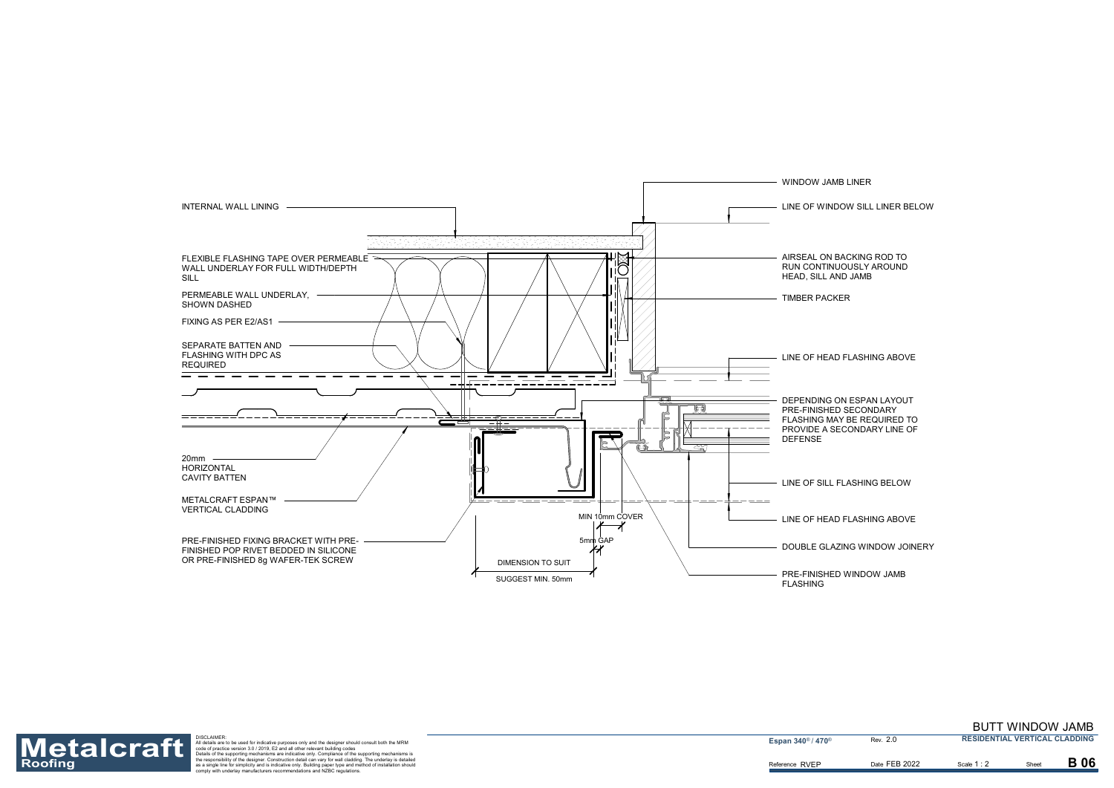DOUBLE GLAZING WINDOW JOINERY

LINE OF WINDOW SILL LINER BELOW

AIRSEAL ON BACKING ROD TO RUN CONTINUOUSLY AROUND

DEPENDING ON ESPAN LAYOUT FLASHING MAY BE REQUIRED TO PROVIDE A SECONDARY LINE OF



LINE OF HEAD FLASHING ABOVE

PRE-FINISHED WINDOW JAMB

LINE OF SILL FLASHING BELOW

LINE OF HEAD FLASHING ABOVE

Reference RVEP

![](_page_6_Picture_1.jpeg)

Roofing<br>Roofing as a single for simplic the separation detail are to be used for indicative purposes only and the designer should consult both the MRM<br>
Materials are to be used for indicative purposes only and the designer

**Espan 340<sup>®</sup> / 470<sup>®</sup>** 

2.0

## BUTT WINDOW JAMB

**RESIDENTIAL VERTICAL CLADDING**

Date FEB 2022 **B** Scale 1: 2 **B** Sheet

Scale **1** : 2

**B** 06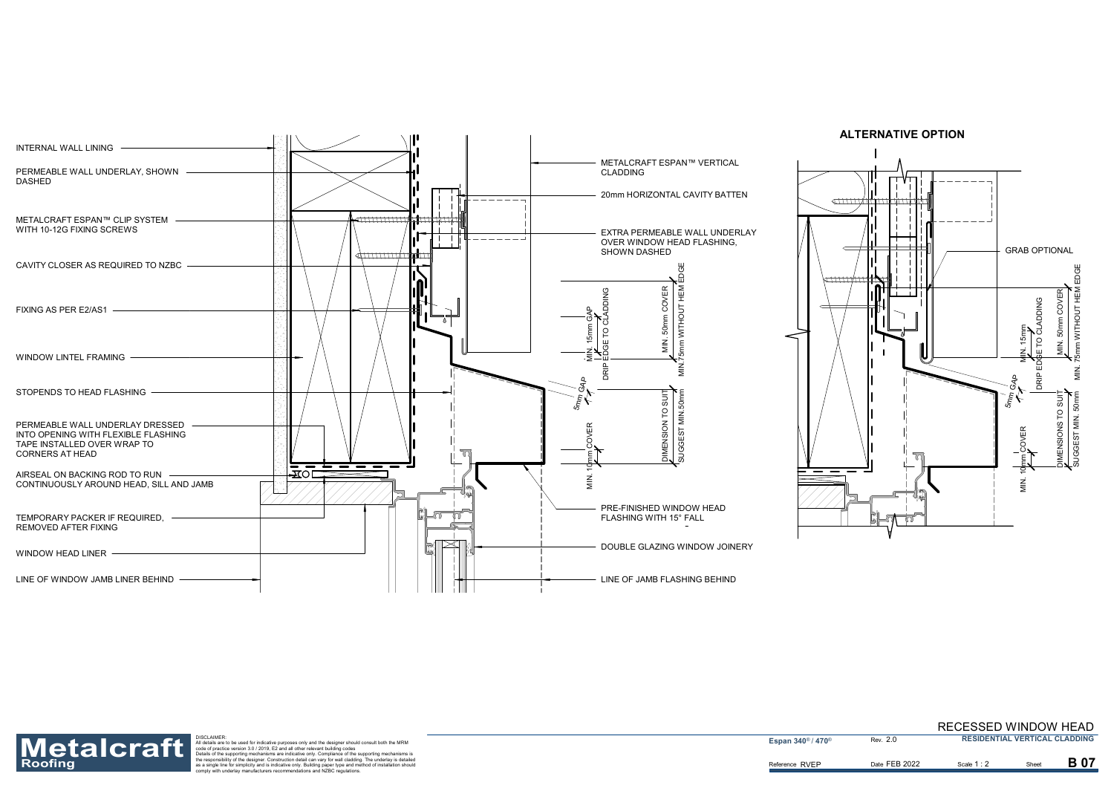![](_page_7_Figure_0.jpeg)

![](_page_7_Figure_5.jpeg)

Reference RVEP

![](_page_7_Picture_1.jpeg)

Roofing<br>Roofing as a single for simplic the separation detail are to be used for indicative purposes only and the designer should consult both the MRM<br>
Materials are to be used for indicative purposes only and the designer

**Espan 340<sup>®</sup> / 470<sup>®</sup>** 

2.0

Date FEB 2022 **B** Scale 1 : 2 **B** Sheet

Scale **1** : 2

**B** 07

RECESSED WINDOW HEAD **RESIDENTIAL VERTICAL CLADDING**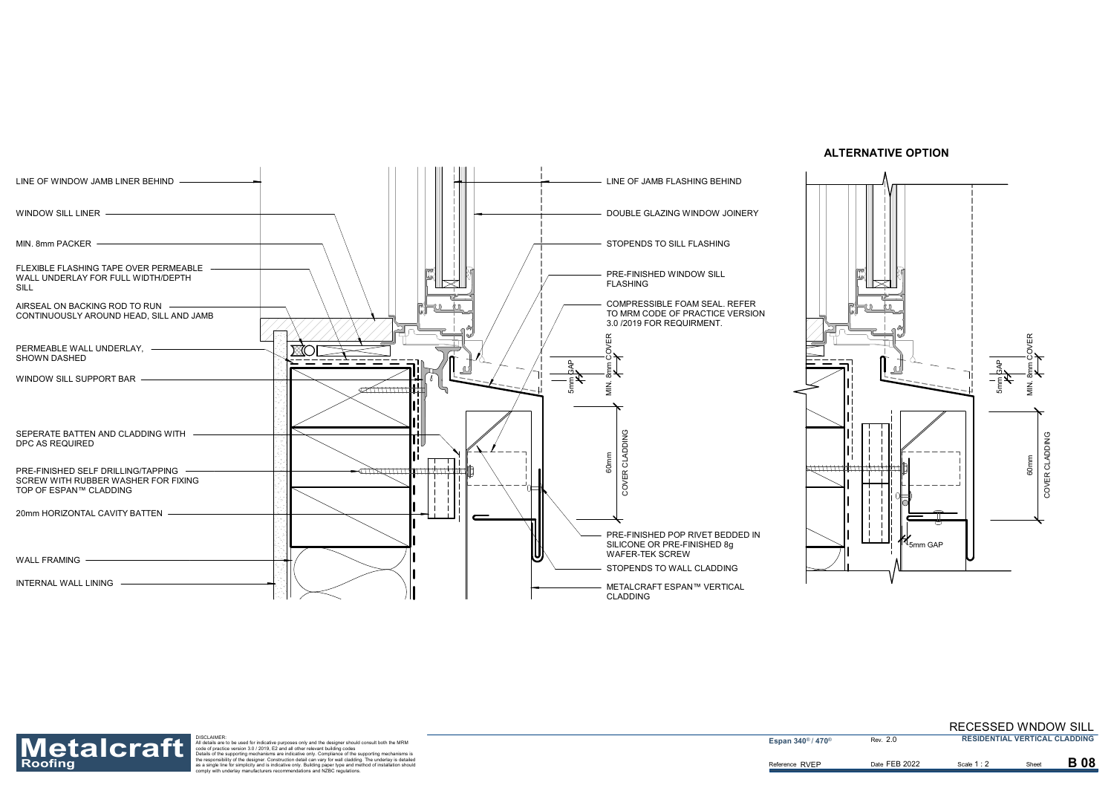MIN. 8mm PACKER

![](_page_8_Figure_0.jpeg)

SILL

Roofing<br>Roofing as a single for simplic the separation detail are to be used for indicative purposes only and the designer should consult both the MRM<br>
Materials are to be used for indicative purposes only and the designer

**Espan 340<sup>®</sup> / 470<sup>®</sup>** 

CLADDING

SHOWN DASHED

WALL FRAMING -

![](_page_8_Figure_6.jpeg)

#### **ALTERNATIVE OPTION**

Reference RVEP

![](_page_8_Picture_1.jpeg)

2.0

Date FEB 2022 **B** Scale 1: 2 **B** Sheet

Scale **1** : 2

**B** 08

#### RECESSED WNDOW SILL **RESIDENTIAL VERTICAL CLADDING**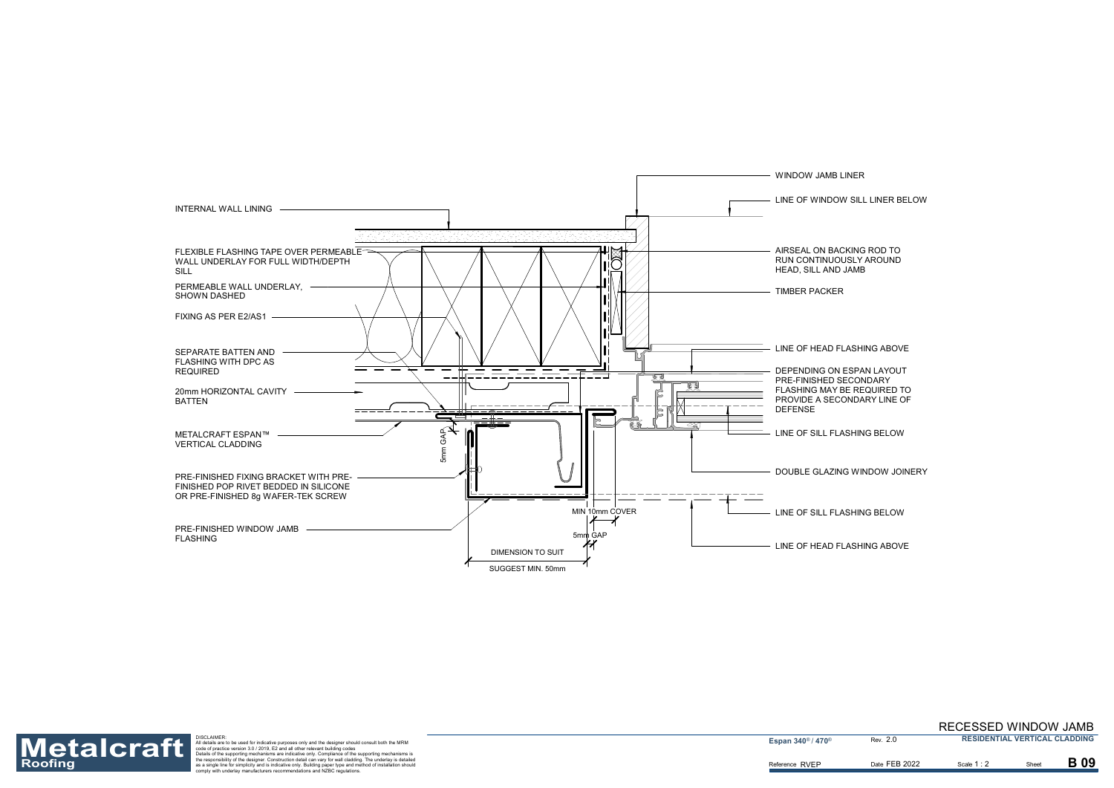![](_page_9_Figure_0.jpeg)

DOUBLE GLAZING WINDOW JOINERY

LINE OF WINDOW SILL LINER BELOW

DEPENDING ON ESPAN LAYOUT FLASHING MAY BE REQUIRED TO PROVIDE A SECONDARY LINE OF

LINE OF HEAD FLASHING ABOVE

LINE OF HEAD FLASHING ABOVE

Reference RVEP

![](_page_9_Picture_1.jpeg)

Roofing<br>Roofing as a single for simplic the separation detail are to be used for indicative purposes only and the designer should consult both the MRM<br>
Materials are to be used for indicative purposes only and the designer

**Espan 340<sup>®</sup> / 470<sup>®</sup>** 

2.0

Scale **1** : 2

**B** 09

Date FEB 2022 **B** Scale 1 : 2 **B** Sheet

#### RECESSED WINDOW JAMB **RESIDENTIAL VERTICAL CLADDING**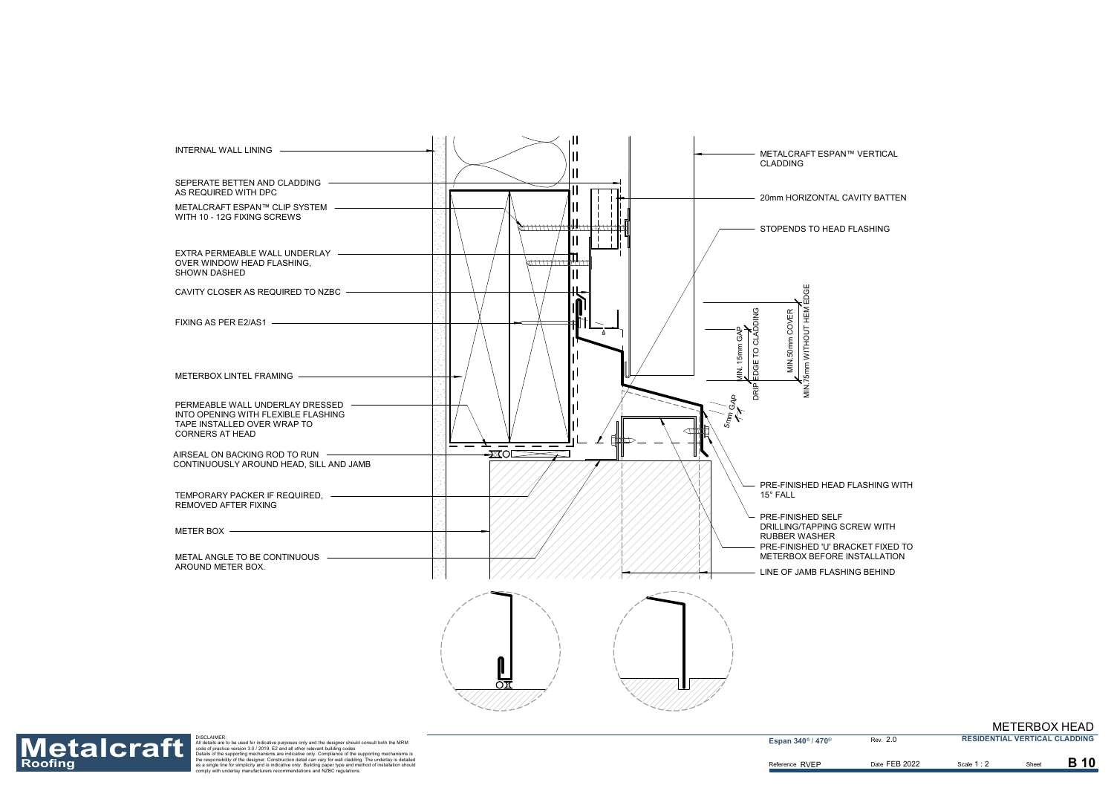![](_page_10_Figure_0.jpeg)

⌒ా

![](_page_10_Picture_1.jpeg)

Roofing<br>Roofing as a single for simplic the separation detail are to be used for indicative purposes only and the designer should consult both the MRM<br>
Materials are to be used for indicative purposes only and the designer

**Espan 340<sup>®</sup> / 470<sup>®</sup>** 

2.0

METERBOX HEAD

**RESIDENTIAL VERTICAL CLADDING**

Scale **1** : 2 Date FEB 2022 **B** Scale 1 : 2 **B** Sheet

**B** 10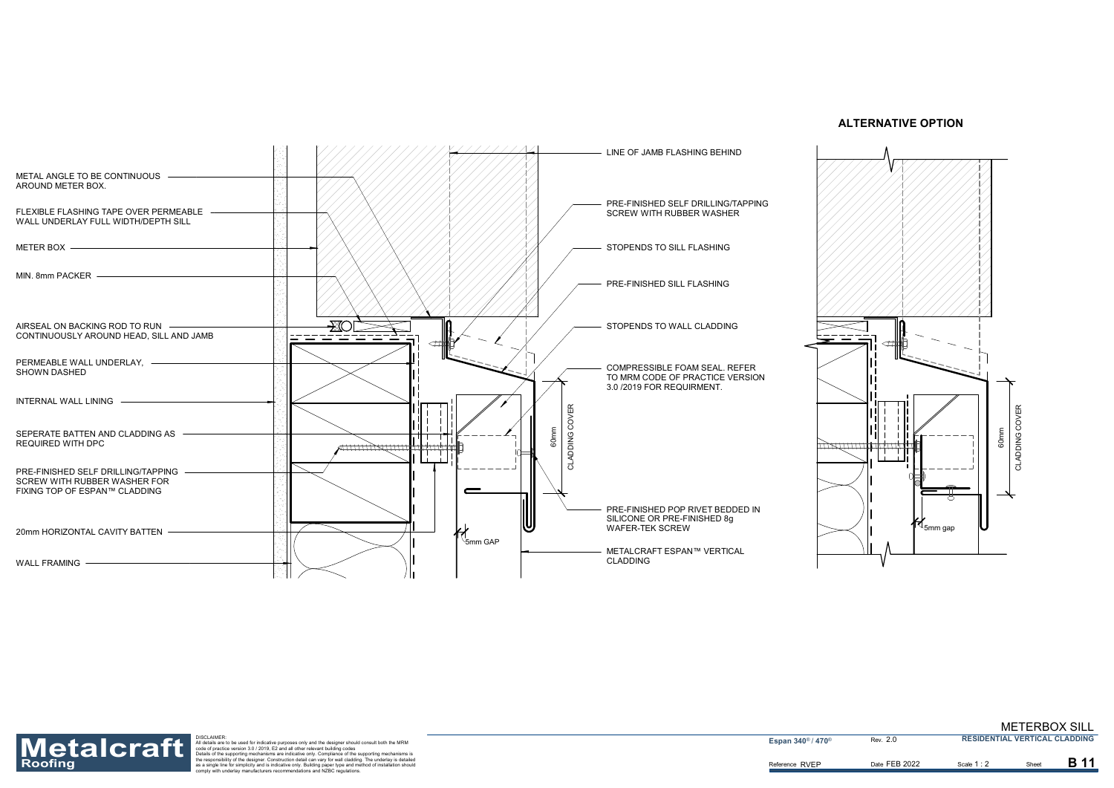![](_page_11_Figure_0.jpeg)

![](_page_11_Figure_6.jpeg)

Reference RVEP

![](_page_11_Picture_1.jpeg)

Roofing<br>Roofing as a single for simplic the separation detail are to be used for indicative purposes only and the designer should consult both the MRM<br>
Materials are to be used for indicative purposes only and the designer

**Espan 340<sup>®</sup> / 470<sup>®</sup>** 

2.0

Date FEB 2022 Scale 1:2 Sheet

Scale **1** : **2** 

B 11

METERBOX SILL **RESIDENTIAL VERTICAL CLADDING**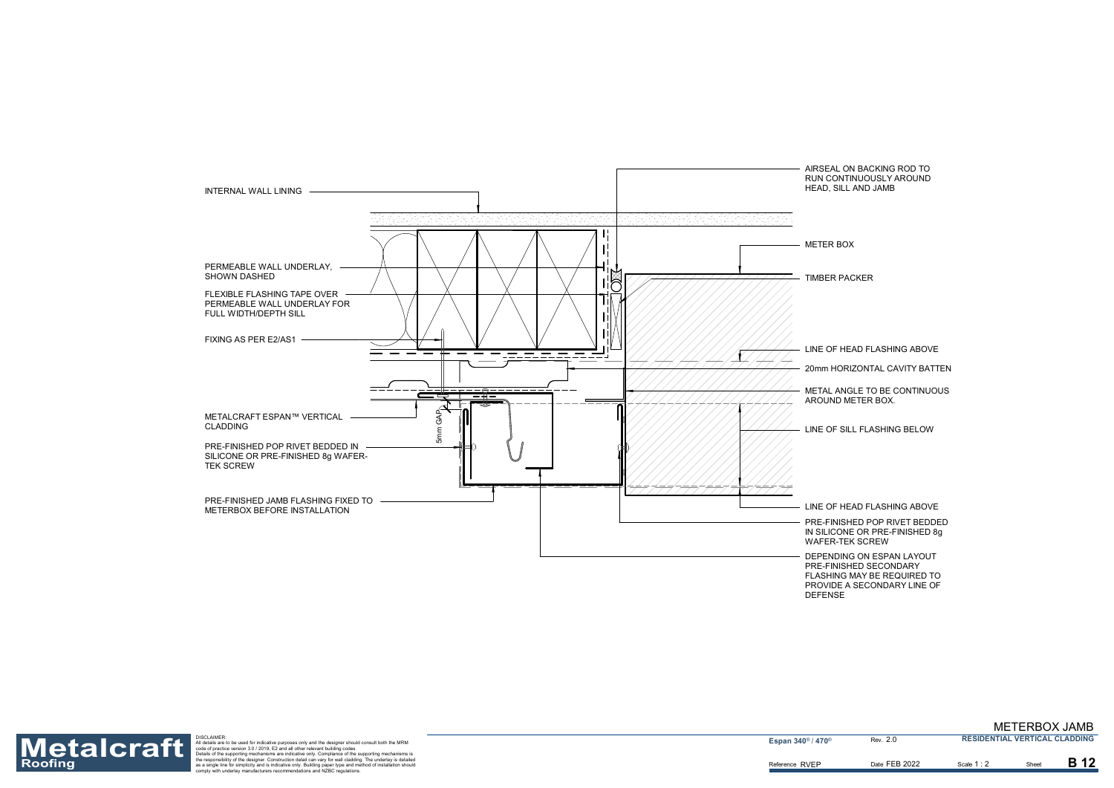LINE OF SILL FLASHING BELOW

LINE OF HEAD FLASHING ABOVE

![](_page_12_Figure_0.jpeg)

METAL ANGLE TO BE CONTINUOUS AROUND METER BOX.

AIRSEAL ON BACKING ROD TO RUN CONTINUOUSLY AROUND HEAD, SILL AND JAMB

LINE OF HEAD FLASHING ABOVE

20mm HORIZONTAL CAVITY BATTEN

PRE-FINISHED POP RIVET BEDDED IN SILICONE OR PRE-FINISHED 8g WAFER-TEK SCREW

DEPENDING ON ESPAN LAYOUT PRE-FINISHED SECONDARY FLASHING MAY BE REQUIRED TO PROVIDE A SECONDARY LINE OF DEFENSE

Reference RVEP

![](_page_12_Picture_1.jpeg)

Roofing<br>Roofing as a single for simplic the separation detail are to be used for indicative purposes only and the designer should consult both the MRM<br>
Materials are to be used for indicative purposes only and the designer

**Espan 340<sup>®</sup> / 470<sup>®</sup>** 

2.0

Scale **1** : 2

**B** 12

Date FEB 2022 **B** Scale 1: 2 **B** Sheet

METERBOX JAMB **RESIDENTIAL VERTICAL CLADDING**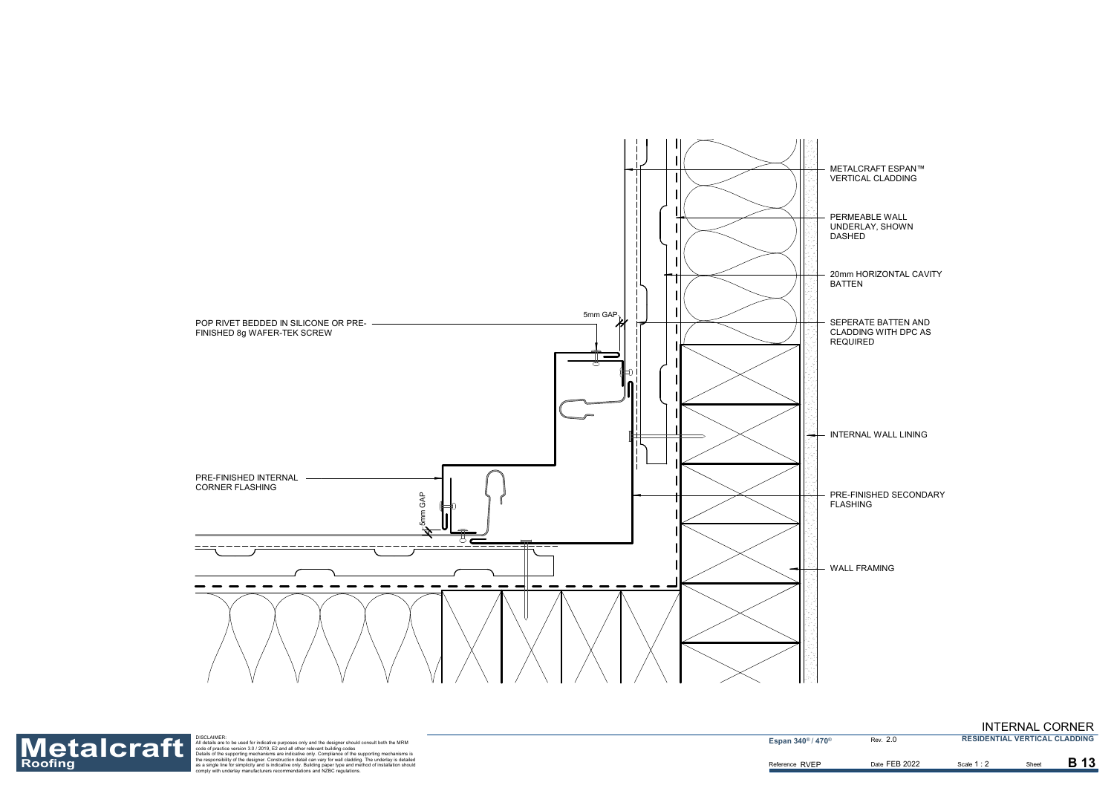METALCRAFT ESPAN™ VERTICAL CLADDING

20mm HORIZONTAL CAVITY BATTEN

INTERNAL WALL LINING

PERMEABLE WALL UNDERLAY, SHOWN DASHED

WALL FRAMING

PRE-FINISHED SECONDARY FLASHING

SEPERATE BATTEN AND CLADDING WITH DPC AS REQUIRED

![](_page_13_Figure_0.jpeg)

Reference RVEP

![](_page_13_Picture_1.jpeg)

Roofing<br>Roofing as a single for simplic the separation detail are to be used for indicative purposes only and the designer should consult both the MRM<br>
Materials are to be used for indicative purposes only and the designer

**Espan 340<sup>®</sup> / 470<sup>®</sup>** 

1 : 2

**B** 13

2.0

### INTERNAL CORNER

**RESIDENTIAL VERTICAL CLADDING**

Date FEB 2022 **B** Scale 1 : 2 **B** Sheet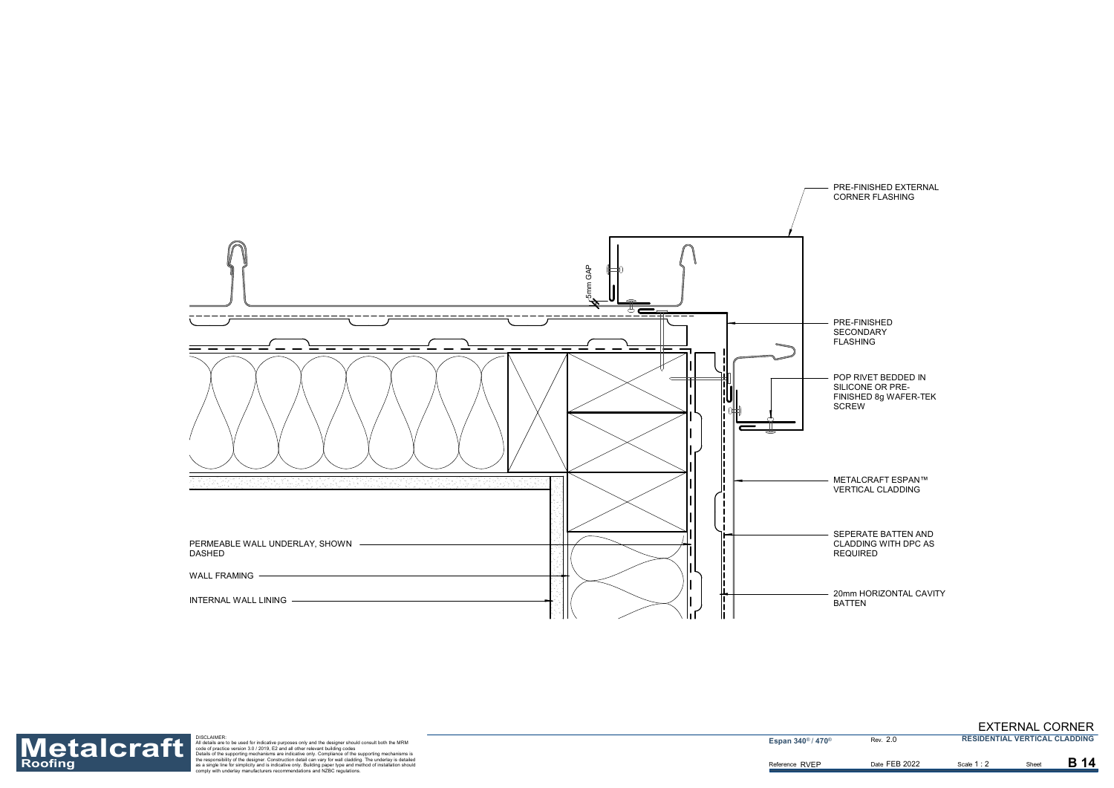20mm HORIZONTAL CAVITY BATTEN

METALCRAFT ESPAN™ VERTICAL CLADDING

PRE-FINISHED EXTERNAL CORNER FLASHING

FLASHING

![](_page_14_Figure_0.jpeg)

POP RIVET BEDDED IN SILICONE OR PRE-FINISHED 8g WAFER-TEK SCREW

SEPERATE BATTEN AND CLADDING WITH DPC AS REQUIRED

Reference RVEP

![](_page_14_Picture_1.jpeg)

Roofing<br>Roofing as a single for simplic the separation detail are to be used for indicative purposes only and the designer should consult both the MRM<br>
Materials are to be used for indicative purposes only and the designer

**Espan 340<sup>®</sup> / 470<sup>®</sup>** 

1 : 2

**B** 14

2.0

Date FEB 2022 **B** Scale 1 : 2 **B** Sheet

EXTERNAL CORNER **RESIDENTIAL VERTICAL CLADDING**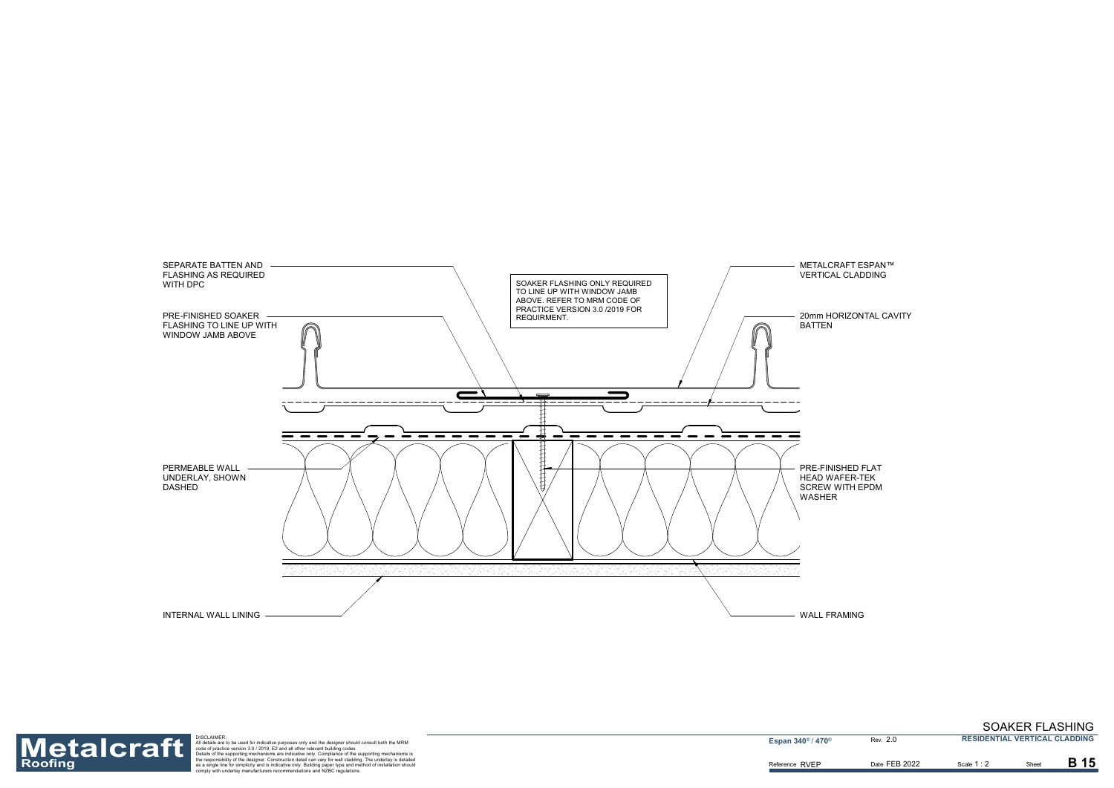METALCRAFT ESPAN™ VERTICAL CLADDING

PRE-FINISHED FLAT HEAD WAFER-TEK SCREW WITH EPDM

![](_page_15_Figure_0.jpeg)

20mm HORIZONTAL CAVITY

Reference RVEP

![](_page_15_Picture_1.jpeg)

Roofing<br>Roofing as a single for simplic the separation detail are to be used for indicative purposes only and the designer should consult both the MRM<br>
Materials are to be used for indicative purposes only and the designer

**Espan 340<sup>®</sup> / 470<sup>®</sup>** 

2.0

## SOAKER FLASHING

**RESIDENTIAL VERTICAL CLADDING**

Date FEB 2022 **B** Scale 1 : 2 **B** Sheet

Scale **1** : 2

**B** 15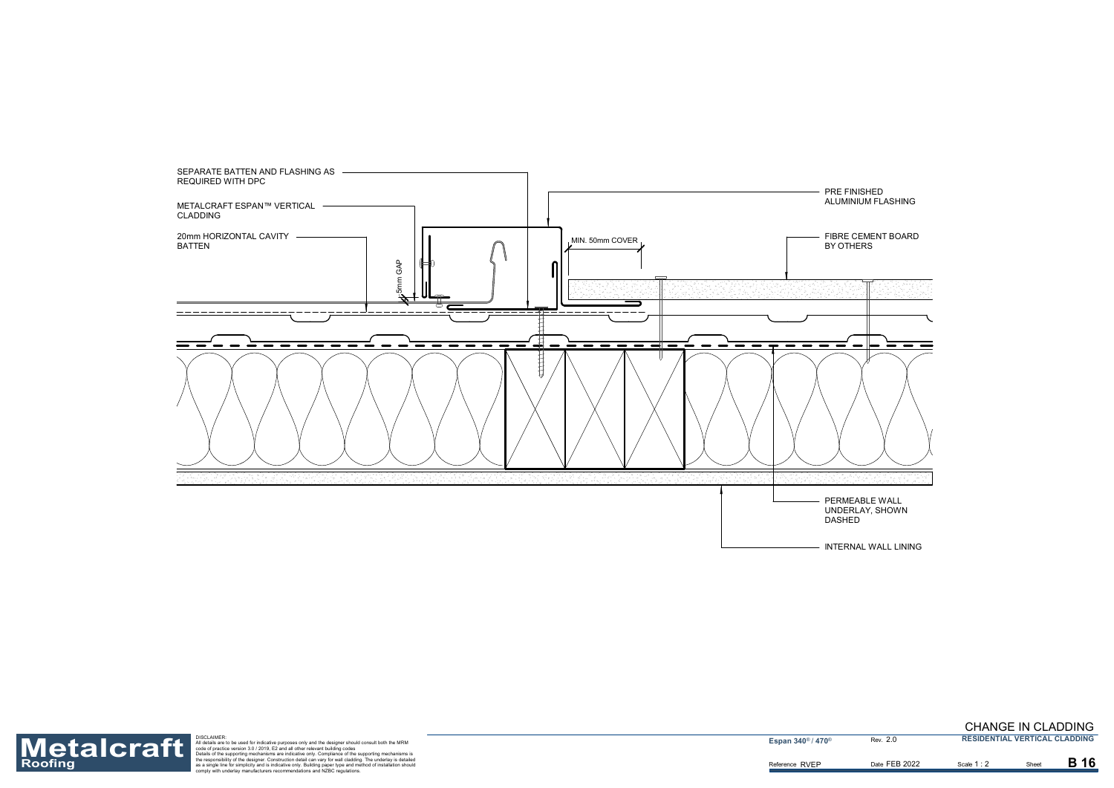![](_page_16_Figure_0.jpeg)

INTERNAL WALL LINING

Reference RVEP

![](_page_16_Picture_2.jpeg)

Roofing<br>Roofing as a single for simplic the separation detail are to be used for indicative purposes only and the designer should consult both the MRM<br>
Materials are to be used for indicative purposes only and the designer

**Espan 340<sup>®</sup> / 470<sup>®</sup>** 

1 : 2

**B** 16

2.0

Date FEB 2022 **B** Scale 1 : 2 **B** Sheet

#### CHANGE IN CLADDING **RESIDENTIAL VERTICAL CLADDING**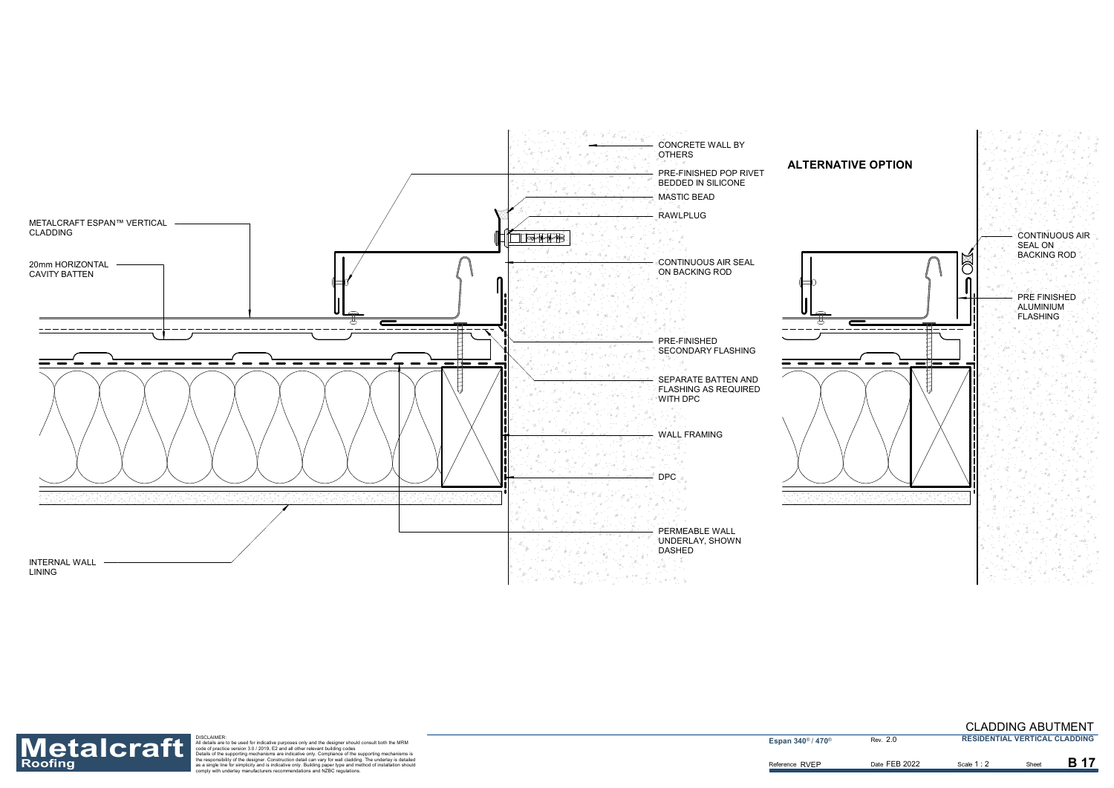![](_page_17_Figure_0.jpeg)

![](_page_17_Figure_5.jpeg)

Reference RVEP

![](_page_17_Picture_1.jpeg)

Roofing<br>Roofing as a single for simplic the separation detail are to be used for indicative purposes only and the designer should consult both the MRM<br>
Materials are to be used for indicative purposes only and the designer

**Espan 340<sup>®</sup> / 470<sup>®</sup>** 

2.0

Date FEB 2022 **B** Scale 1 : 2 **B** Sheet

Scale **1** : 2

**B** 17

#### CLADDING ABUTMENT **RESIDENTIAL VERTICAL CLADDING**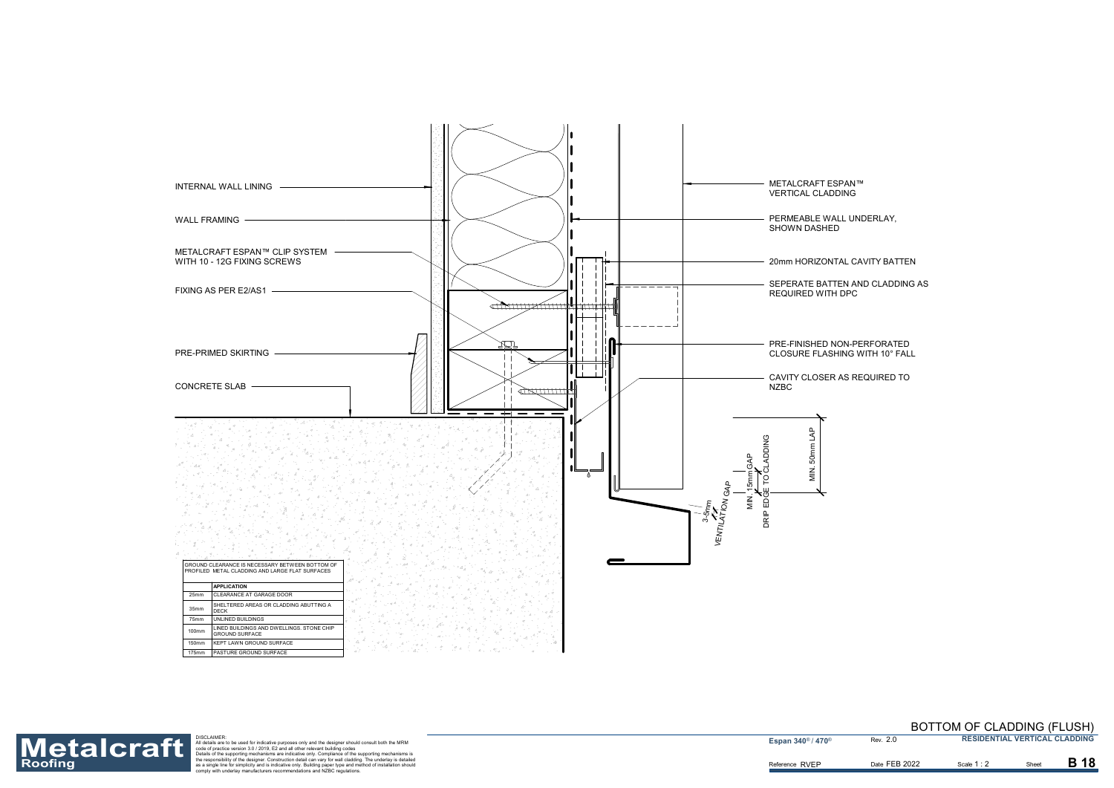![](_page_18_Figure_0.jpeg)

20mm HORIZONTAL CAVITY BATTEN

SEPERATE BATTEN AND CLADDING AS

Reference RVEP

![](_page_18_Picture_1.jpeg)

Roofing<br>Roofing as a single for simplic the separation detail are to be used for indicative purposes only and the designer should consult both the MRM<br>
Materials are to be used for indicative purposes only and the designer

**Espan 340<sup>®</sup> / 470<sup>®</sup>** 

2.0

Date FEB 2022 **B** Scale 1: 2 **B** Sheet

Scale **1** : 2

**B** 18

BOTTOM OF CLADDING (FLUSH) **RESIDENTIAL VERTICAL CLADDING**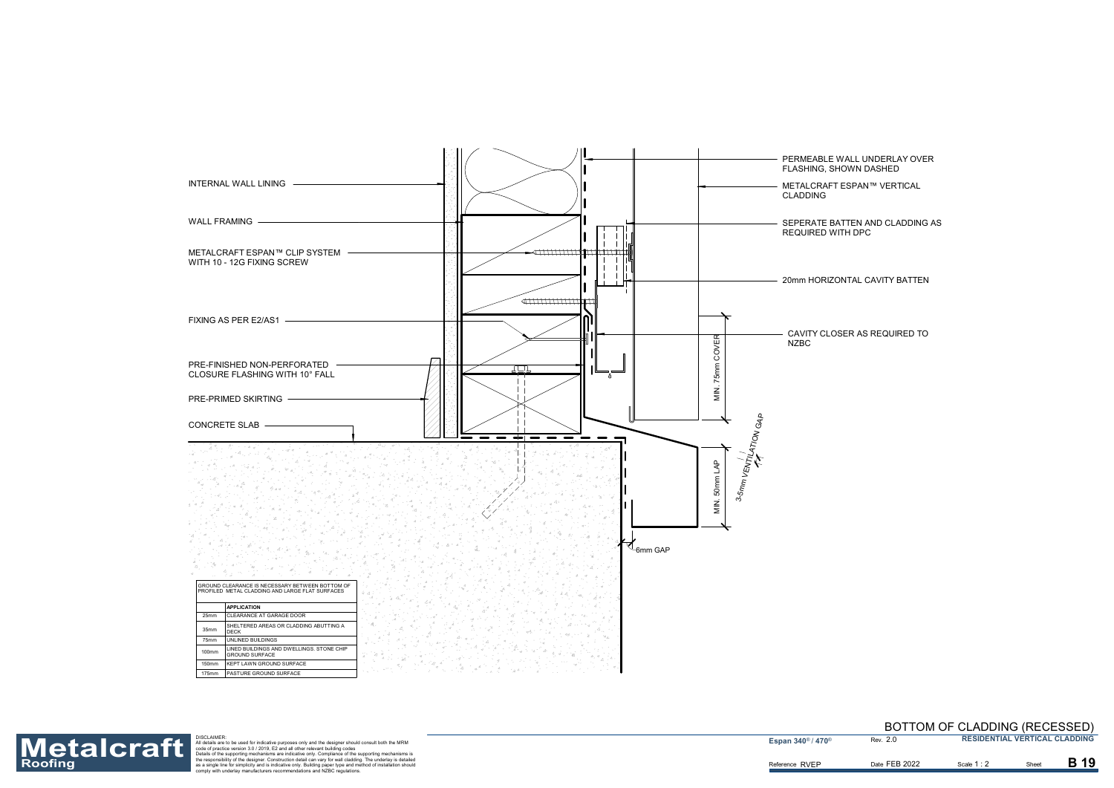# PERMEABLE WALL UNDERLAY OVER

METALCRAFT ESPAN™ VERTICAL

CAVITY CLOSER AS REQUIRED TO

20mm HORIZONTAL CAVITY BATTEN

SEPERATE BATTEN AND CLADDING AS

![](_page_19_Figure_0.jpeg)

Reference RVEP

![](_page_19_Picture_1.jpeg)

Roofing<br>Roofing as a single for simplic the separation detail are to be used for indicative purposes only and the designer should consult both the MRM<br>
Materials are to be used for indicative purposes only and the designer

**Espan 340<sup>®</sup> / 470<sup>®</sup>** 

2.0

Scale **1** : 2 Date FEB 2022 **B** Scale 1 : 2 **B** Sheet

B 19

#### BOTTOM OF CLADDING (RECESSED) **RESIDENTIAL VERTICAL CLADDING**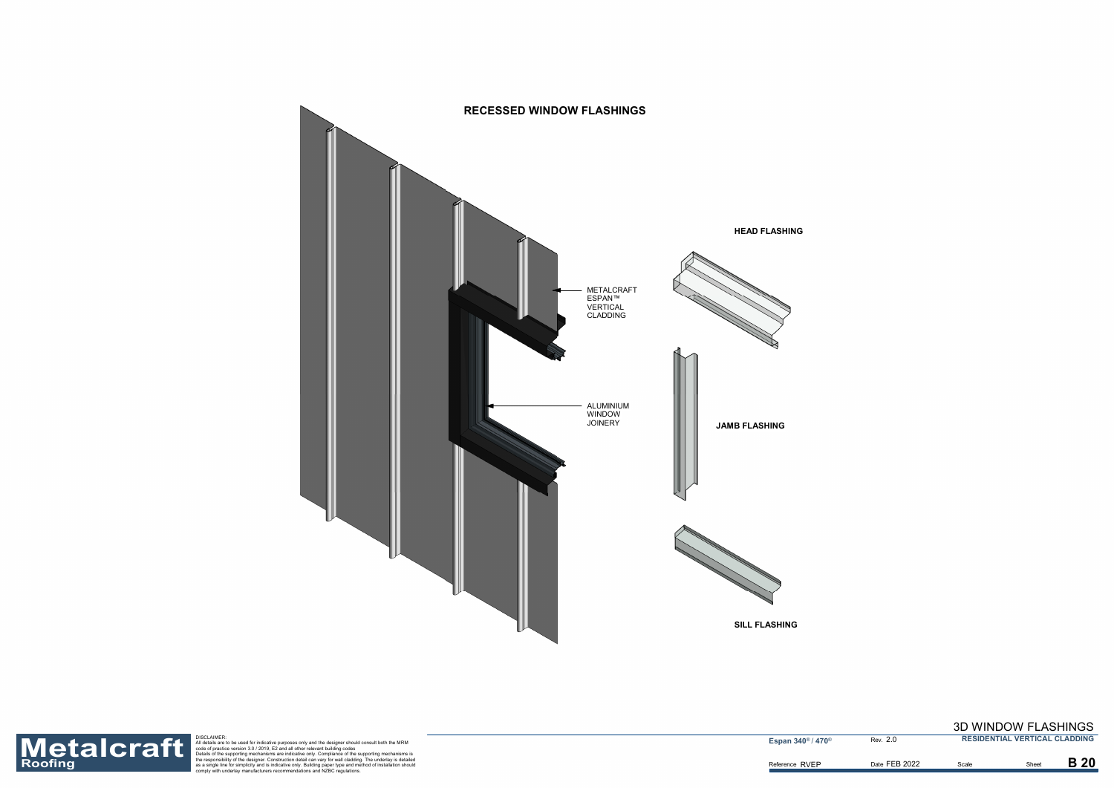![](_page_20_Picture_1.jpeg)

Roofing<br>Roofing as a single for simplicity and all other relevant building paper should consult both the MRM<br>entation of pactic exersion 3.0/2019, E2 and all other relevant building codes<br>the supporting mechanisms are indi

**Espan 340<sup>®</sup> / 470<sup>®</sup> Rev. 2.0** 

## 3D WINDOW FLASHINGS

**RESIDENTIAL VERTICAL CLADDING**

Date FEB 2022 Scale **B** Sheet

**B** 20

![](_page_20_Figure_0.jpeg)